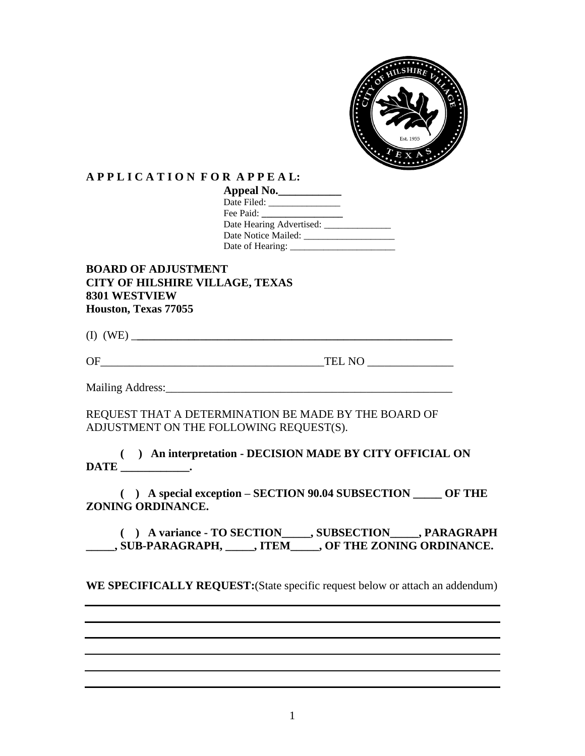

## **A P P L I C A T I O N F O R A P P E A L:**

| Appeal No.              |  |
|-------------------------|--|
|                         |  |
| Fee Paid:               |  |
|                         |  |
| Date Notice Mailed:     |  |
| Date of Hearing: ______ |  |

## **BOARD OF ADJUSTMENT CITY OF HILSHIRE VILLAGE, TEXAS 8301 WESTVIEW Houston, Texas 77055**

| $\sqrt{ }$<br>. . | ____<br>т<br>w<br>$\sim$ |  |  |  |
|-------------------|--------------------------|--|--|--|
|                   |                          |  |  |  |

OF\_\_\_\_\_\_\_\_\_\_\_\_\_\_\_\_\_\_\_\_\_\_\_\_\_\_\_\_\_\_\_\_\_\_\_\_\_\_\_TEL NO \_\_\_\_\_\_\_\_\_\_\_\_\_\_\_

Mailing Address:\_\_\_\_\_\_\_\_\_\_\_\_\_\_\_\_\_\_\_\_\_\_\_\_\_\_\_\_\_\_\_\_\_\_\_\_\_\_\_\_\_\_\_\_\_\_\_\_\_\_

REQUEST THAT A DETERMINATION BE MADE BY THE BOARD OF ADJUSTMENT ON THE FOLLOWING REQUEST(S).

**( ) An interpretation - DECISION MADE BY CITY OFFICIAL ON DATE \_\_\_\_\_\_\_\_\_\_\_\_.**

**( ) A special exception – SECTION 90.04 SUBSECTION \_\_\_\_\_ OF THE ZONING ORDINANCE.**

**( ) A variance - TO SECTION\_\_\_\_\_, SUBSECTION\_\_\_\_\_, PARAGRAPH \_\_\_\_\_, SUB-PARAGRAPH, \_\_\_\_\_, ITEM\_\_\_\_\_, OF THE ZONING ORDINANCE.**

**WE SPECIFICALLY REQUEST:**(State specific request below or attach an addendum)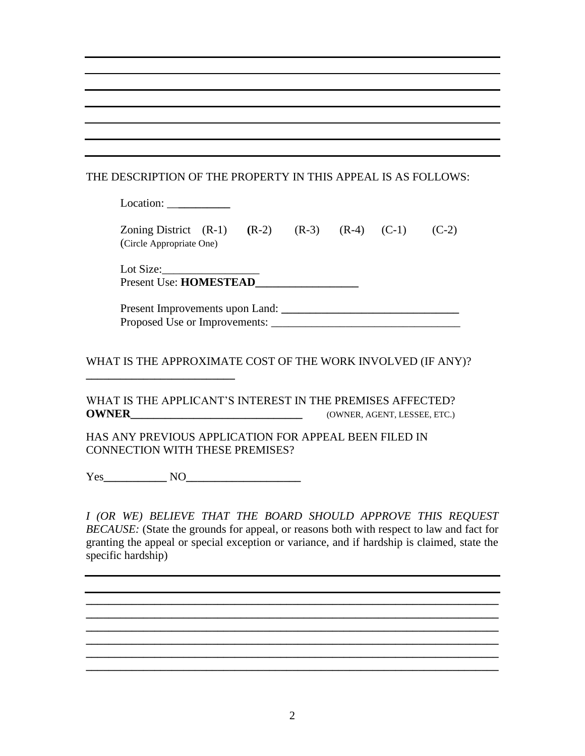## THE DESCRIPTION OF THE PROPERTY IN THIS APPEAL IS AS FOLLOWS:

Location:

**\_\_\_\_\_\_\_\_\_\_\_\_\_\_\_\_\_\_\_\_\_\_\_\_\_\_**

Zoning District (R-1) **(**R-2) (R-3) (R-4) (C-1) (C-2) (Circle Appropriate One)

Lot Size:\_\_\_\_\_\_\_\_\_\_\_\_\_\_\_\_\_ Present Use: **HOMESTEAD** 

Present Improvements upon Land: **\_\_\_\_\_\_\_\_\_\_\_\_\_\_\_\_\_\_\_\_\_\_\_\_\_\_\_\_\_\_\_** Proposed Use or Improvements:

## WHAT IS THE APPROXIMATE COST OF THE WORK INVOLVED (IF ANY)?

WHAT IS THE APPLICANT'S INTEREST IN THE PREMISES AFFECTED? **OWNER\_\_\_\_\_\_\_\_\_\_\_\_\_\_\_\_\_\_\_\_\_\_\_\_\_\_\_\_\_\_** (OWNER, AGENT, LESSEE, ETC.)

HAS ANY PREVIOUS APPLICATION FOR APPEAL BEEN FILED IN CONNECTION WITH THESE PREMISES?

Yes**\_\_\_\_\_\_\_\_\_\_\_** NO**\_\_\_\_\_\_\_\_\_\_\_\_\_\_\_\_\_\_\_\_**

*I (OR WE) BELIEVE THAT THE BOARD SHOULD APPROVE THIS REQUEST BECAUSE:* (State the grounds for appeal, or reasons both with respect to law and fact for granting the appeal or special exception or variance, and if hardship is claimed, state the specific hardship)

**\_\_\_\_\_\_\_\_\_\_\_\_\_\_\_\_\_\_\_\_\_\_\_\_\_\_\_\_\_\_\_\_\_\_\_\_\_\_\_\_\_\_\_\_\_\_\_\_\_\_\_\_\_\_\_\_\_\_\_\_\_\_\_\_\_\_\_\_\_\_\_\_ \_\_\_\_\_\_\_\_\_\_\_\_\_\_\_\_\_\_\_\_\_\_\_\_\_\_\_\_\_\_\_\_\_\_\_\_\_\_\_\_\_\_\_\_\_\_\_\_\_\_\_\_\_\_\_\_\_\_\_\_\_\_\_\_\_\_\_\_\_\_\_\_ \_\_\_\_\_\_\_\_\_\_\_\_\_\_\_\_\_\_\_\_\_\_\_\_\_\_\_\_\_\_\_\_\_\_\_\_\_\_\_\_\_\_\_\_\_\_\_\_\_\_\_\_\_\_\_\_\_\_\_\_\_\_\_\_\_\_\_\_\_\_\_\_ \_\_\_\_\_\_\_\_\_\_\_\_\_\_\_\_\_\_\_\_\_\_\_\_\_\_\_\_\_\_\_\_\_\_\_\_\_\_\_\_\_\_\_\_\_\_\_\_\_\_\_\_\_\_\_\_\_\_\_\_\_\_\_\_\_\_\_\_\_\_\_\_ \_\_\_\_\_\_\_\_\_\_\_\_\_\_\_\_\_\_\_\_\_\_\_\_\_\_\_\_\_\_\_\_\_\_\_\_\_\_\_\_\_\_\_\_\_\_\_\_\_\_\_\_\_\_\_\_\_\_\_\_\_\_\_\_\_\_\_\_\_\_\_\_ \_\_\_\_\_\_\_\_\_\_\_\_\_\_\_\_\_\_\_\_\_\_\_\_\_\_\_\_\_\_\_\_\_\_\_\_\_\_\_\_\_\_\_\_\_\_\_\_\_\_\_\_\_\_\_\_\_\_\_\_\_\_\_\_\_\_\_\_\_\_\_\_**